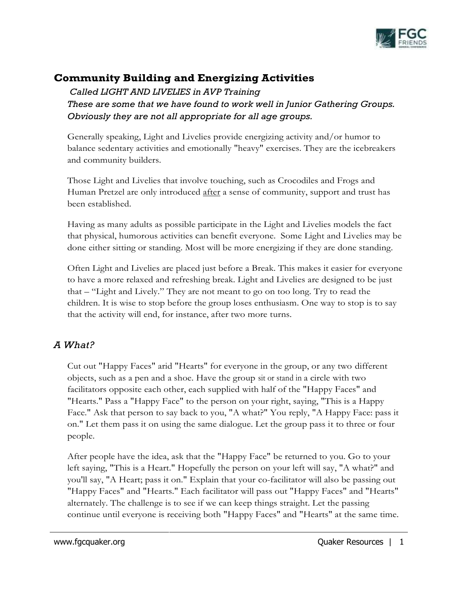

# **Community Building and Energizing Activities**

*Called LIGHT AND LIVELIES in AVP Training These are some that we have found to work well in Junior Gathering Groups. Obviously they are not all appropriate for all age groups.* 

Generally speaking, Light and Livelies provide energizing activity and/or humor to balance sedentary activities and emotionally "heavy" exercises. They are the icebreakers and community builders.

Those Light and Livelies that involve touching, such as Crocodiles and Frogs and Human Pretzel are only introduced <u>after</u> a sense of community, support and trust has been established.

Having as many adults as possible participate in the Light and Livelies models the fact that physical, humorous activities can benefit everyone. Some Light and Livelies may be done either sitting or standing. Most will be more energizing if they are done standing.

Often Light and Livelies are placed just before a Break. This makes it easier for everyone to have a more relaxed and refreshing break. Light and Livelies are designed to be just that – "Light and Lively." They are not meant to go on too long. Try to read the children. It is wise to stop before the group loses enthusiasm. One way to stop is to say that the activity will end, for instance, after two more turns.

## *A What?*

Cut out "Happy Faces" arid "Hearts" for everyone in the group, or any two different objects, such as a pen and a shoe. Have the group sit or stand in a circle with two facilitators opposite each other, each supplied with half of the "Happy Faces" and "Hearts." Pass a "Happy Face" to the person on your right, saying, "This is a Happy Face." Ask that person to say back to you, "A what?" You reply, "A Happy Face: pass it on." Let them pass it on using the same dialogue. Let the group pass it to three or four people.

After people have the idea, ask that the "Happy Face" be returned to you. Go to your left saying, "This is a Heart." Hopefully the person on your left will say, "A what?" and you'll say, "A Heart; pass it on." Explain that your co-facilitator will also be passing out "Happy Faces" and "Hearts." Each facilitator will pass out "Happy Faces" and "Hearts" alternately. The challenge is to see if we can keep things straight. Let the passing continue until everyone is receiving both "Happy Faces" and "Hearts" at the same time.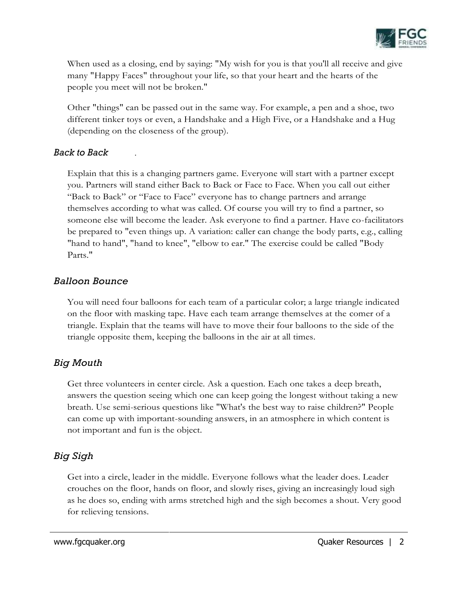

When used as a closing, end by saying: "My wish for you is that you'll all receive and give many "Happy Faces" throughout your life, so that your heart and the hearts of the people you meet will not be broken."

Other "things" can be passed out in the same way. For example, a pen and a shoe, two different tinker toys or even, a Handshake and a High Five, or a Handshake and a Hug (depending on the closeness of the group).

### *Back to Back* .

Explain that this is a changing partners game. Everyone will start with a partner except you. Partners will stand either Back to Back or Face to Face. When you call out either "Back to Back" or "Face to Face" everyone has to change partners and arrange themselves according to what was called. Of course you will try to find a partner, so someone else will become the leader. Ask everyone to find a partner. Have co-facilitators be prepared to "even things up. A variation: caller can change the body parts, e.g., calling "hand to hand", "hand to knee", "elbow to ear." The exercise could be called "Body Parts."

### *Balloon Bounce*

You will need four balloons for each team of a particular color; a large triangle indicated on the floor with masking tape. Have each team arrange themselves at the comer of a triangle. Explain that the teams will have to move their four balloons to the side of the triangle opposite them, keeping the balloons in the air at all times.

## *Big Mouth*

Get three volunteers in center circle. Ask a question. Each one takes a deep breath, answers the question seeing which one can keep going the longest without taking a new breath. Use semi-serious questions like "What's the best way to raise children?" People can come up with important-sounding answers, in an atmosphere in which content is not important and fun is the object.

# *Big Sigh*

Get into a circle, leader in the middle. Everyone follows what the leader does. Leader crouches on the floor, hands on floor, and slowly rises, giving an increasingly loud sigh as he does so, ending with arms stretched high and the sigh becomes a shout. Very good for relieving tensions.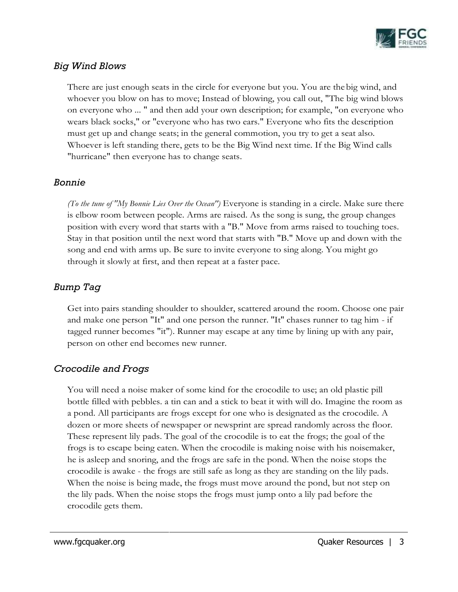

## *Big Wind Blows*

There are just enough seats in the circle for everyone but you. You are the big wind, and whoever you blow on has to move; Instead of blowing, you call out, "The big wind blows on everyone who ... " and then add your own description; for example, "on everyone who wears black socks," or "everyone who has two ears." Everyone who fits the description must get up and change seats; in the general commotion, you try to get a seat also. Whoever is left standing there, gets to be the Big Wind next time. If the Big Wind calls "hurricane" then everyone has to change seats.

### *Bonnie*

*(To the tune of "My Bonnie Lies Over the Ocean")* Everyone is standing in a circle. Make sure there is elbow room between people. Arms are raised. As the song is sung, the group changes position with every word that starts with a "B." Move from arms raised to touching toes. Stay in that position until the next word that starts with "B." Move up and down with the song and end with arms up. Be sure to invite everyone to sing along. You might go through it slowly at first, and then repeat at a faster pace.

## *Bump Tag*

Get into pairs standing shoulder to shoulder, scattered around the room. Choose one pair and make one person "It" and one person the runner. ''It'' chases runner to tag him - if tagged runner becomes "it"). Runner may escape at any time by lining up with any pair, person on other end becomes new runner.

## *Crocodile and Frogs*

You will need a noise maker of some kind for the crocodile to use; an old plastic pill bottle filled with pebbles. a tin can and a stick to beat it with will do. Imagine the room as a pond. All participants are frogs except for one who is designated as the crocodile. A dozen or more sheets of newspaper or newsprint are spread randomly across the floor. These represent lily pads. The goal of the crocodile is to eat the frogs; the goal of the frogs is to escape being eaten. When the crocodile is making noise with his noisemaker, he is asleep and snoring, and the frogs are safe in the pond. When the noise stops the crocodile is awake - the frogs are still safe as long as they are standing on the lily pads. When the noise is being made, the frogs must move around the pond, but not step on the lily pads. When the noise stops the frogs must jump onto a lily pad before the crocodile gets them.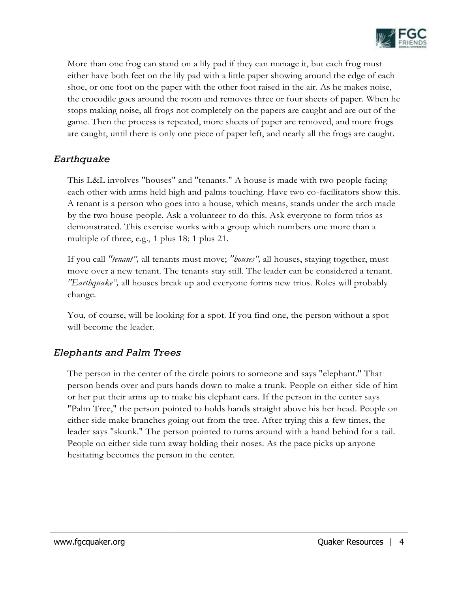

More than one frog can stand on a lily pad if they can manage it, but each frog must either have both feet on the lily pad with a little paper showing around the edge of each shoe, or one foot on the paper with the other foot raised in the air. As he makes noise, the crocodile goes around the room and removes three or four sheets of paper. When he stops making noise, all frogs not completely on the papers are caught and are out of the game. Then the process is repeated, more sheets of paper are removed, and more frogs are caught, until there is only one piece of paper left, and nearly all the frogs are caught.

## *Earthquake*

This L&L involves "houses" and "tenants." A house is made with two people facing each other with arms held high and palms touching. Have two co-facilitators show this. A tenant is a person who goes into a house, which means, stands under the arch made by the two house-people. Ask a volunteer to do this. Ask everyone to form trios as demonstrated. This exercise works with a group which numbers one more than a multiple of three, e.g., 1 plus 18; 1 plus 21.

If you call *"tenant",* all tenants must move; *"houses",* all houses, staying together, must move over a new tenant. The tenants stay still. The leader can be considered a tenant. *"Earthquake",* all houses break up and everyone forms new trios. Roles will probably change.

You, of course, will be looking for a spot. If you find one, the person without a spot will become the leader.

## *Elephants and Palm Trees*

The person in the center of the circle points to someone and says "elephant." That person bends over and puts hands down to make a trunk. People on either side of him or her put their arms up to make his elephant ears. If the person in the center says "Palm Tree," the person pointed to holds hands straight above his her head. People on either side make branches going out from the tree. After trying this a few times, the leader says "skunk." The person pointed to turns around with a hand behind for a tail. People on either side turn away holding their noses. As the pace picks up anyone hesitating becomes the person in the center.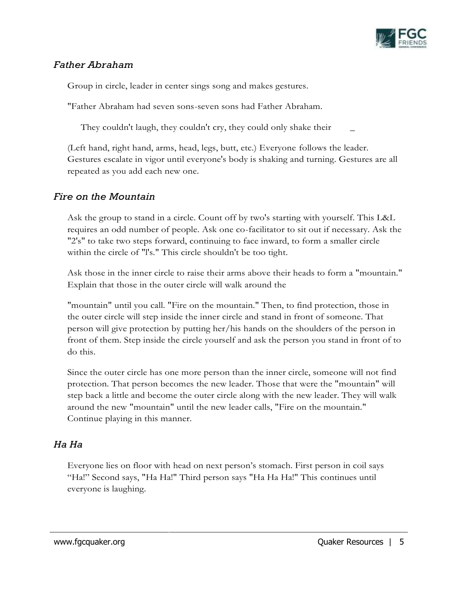

## *Father Abraham*

Group in circle, leader in center sings song and makes gestures.

"Father Abraham had seven sons-seven sons had Father Abraham.

They couldn't laugh, they couldn't cry, they could only shake their

(Left hand, right hand, arms, head, legs, butt, etc.) Everyone follows the leader. Gestures escalate in vigor until everyone's body is shaking and turning. Gestures are all repeated as you add each new one.

## *Fire on the Mountain*

Ask the group to stand in a circle. Count off by two's starting with yourself. This L&L requires an odd number of people. Ask one co-facilitator to sit out if necessary. Ask the "2's" to take two steps forward, continuing to face inward, to form a smaller circle within the circle of "l's." This circle shouldn't be too tight.

Ask those in the inner circle to raise their arms above their heads to form a "mountain." Explain that those in the outer circle will walk around the

"mountain" until you call. "Fire on the mountain." Then, to find protection, those in the outer circle will step inside the inner circle and stand in front of someone. That person will give protection by putting her/his hands on the shoulders of the person in front of them. Step inside the circle yourself and ask the person you stand in front of to do this.

Since the outer circle has one more person than the inner circle, someone will not find protection. That person becomes the new leader. Those that were the "mountain" will step back a little and become the outer circle along with the new leader. They will walk around the new "mountain" until the new leader calls, "Fire on the mountain." Continue playing in this manner.

## *Ha Ha*

Everyone lies on floor with head on next person's stomach. First person in coil says "Ha!" Second says, "Ha Ha!" Third person says "Ha Ha Ha!" This continues until everyone is laughing.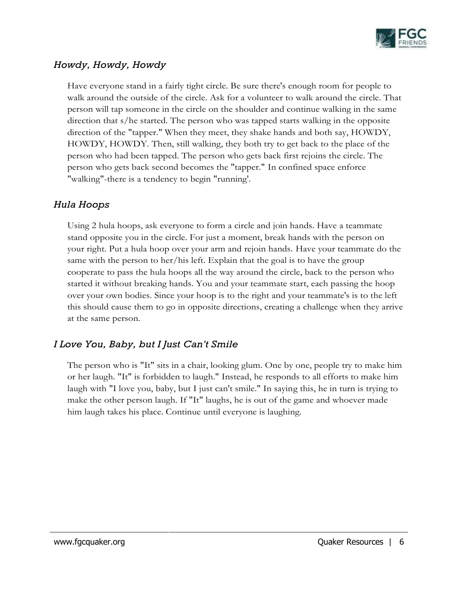

## *Howdy, Howdy, Howdy*

Have everyone stand in a fairly tight circle. Be sure there's enough room for people to walk around the outside of the circle. Ask for a volunteer to walk around the circle. That person will tap someone in the circle on the shoulder and continue walking in the same direction that s/he started. The person who was tapped starts walking in the opposite direction of the "tapper." When they meet, they shake hands and both say, HOWDY, HOWDY, HOWDY. Then, still walking, they both try to get back to the place of the person who had been tapped. The person who gets back first rejoins the circle. The person who gets back second becomes the "tapper." In confined space enforce "walking"-there is a tendency to begin "running'.

## *Hula Hoops*

Using 2 hula hoops, ask everyone to form a circle and join hands. Have a teammate stand opposite you in the circle. For just a moment, break hands with the person on your right. Put a hula hoop over your arm and rejoin hands. Have your teammate do the same with the person to her/his left. Explain that the goal is to have the group cooperate to pass the hula hoops all the way around the circle, back to the person who started it without breaking hands. You and your teammate start, each passing the hoop over your own bodies. Since your hoop is to the right and your teammate's is to the left this should cause them to go in opposite directions, creating a challenge when they arrive at the same person.

## *I Love You, Baby, but I Just Can't Smile*

The person who is "It" sits in a chair, looking glum. One by one, people try to make him or her laugh. "It" is forbidden to laugh." Instead, he responds to all efforts to make him laugh with "I love you, baby, but I just can't smile." In saying this, he in turn is trying to make the other person laugh. If "It" laughs, he is out of the game and whoever made him laugh takes his place. Continue until everyone is laughing.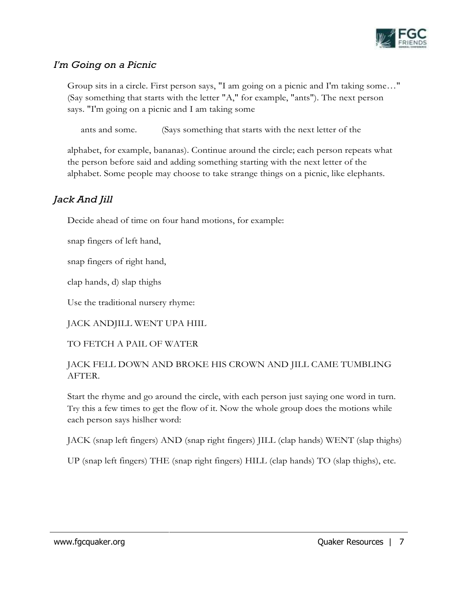

## *I'm Going on a Picnic*

Group sits in a circle. First person says, "I am going on a picnic and I'm taking some…" (Say something that starts with the letter "A," for example, "ants"). The next person says. "I'm going on a picnic and I am taking some

ants and some. (Says something that starts with the next letter of the

alphabet, for example, bananas). Continue around the circle; each person repeats what the person before said and adding something starting with the next letter of the alphabet. Some people may choose to take strange things on a picnic, like elephants.

## *Jack And Jill*

Decide ahead of time on four hand motions, for example:

snap fingers of left hand,

snap fingers of right hand,

clap hands, d) slap thighs

Use the traditional nursery rhyme:

JACK ANDJILL WENT UPA HIIL

### TO FETCH A PAIL OF WATER

### JACK FELL DOWN AND BROKE HIS CROWN AND JILL CAME TUMBLING AFTER.

Start the rhyme and go around the circle, with each person just saying one word in turn. Try this a few times to get the flow of it. Now the whole group does the motions while each person says hislher word:

JACK (snap left fingers) AND (snap right fingers) JILL (clap hands) WENT (slap thighs)

UP (snap left fingers) THE (snap right fingers) HILL (clap hands) TO (slap thighs), etc.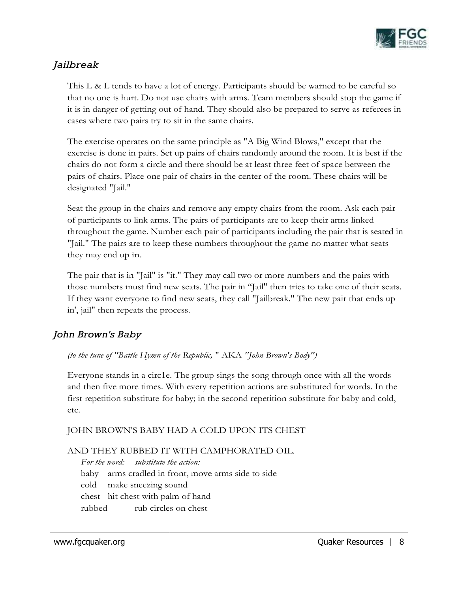

## *Jailbreak*

This L & L tends to have a lot of energy. Participants should be warned to be careful so that no one is hurt. Do not use chairs with arms. Team members should stop the game if it is in danger of getting out of hand. They should also be prepared to serve as referees in cases where two pairs try to sit in the same chairs.

The exercise operates on the same principle as "A Big Wind Blows," except that the exercise is done in pairs. Set up pairs of chairs randomly around the room. It is best if the chairs do not form a circle and there should be at least three feet of space between the pairs of chairs. Place one pair of chairs in the center of the room. These chairs will be designated "Jail."

Seat the group in the chairs and remove any empty chairs from the room. Ask each pair of participants to link arms. The pairs of participants are to keep their arms linked throughout the game. Number each pair of participants including the pair that is seated in "Jail." The pairs are to keep these numbers throughout the game no matter what seats they may end up in.

The pair that is in "Jail" is "it." They may call two or more numbers and the pairs with those numbers must find new seats. The pair in "Jail" then tries to take one of their seats. If they want everyone to find new seats, they call "Jailbreak." The new pair that ends up in', jail" then repeats the process.

## *John Brown's Baby*

*(to the tune of ''Battle Hymn of the Republic,* " AKA *''John Brown's Body")* 

Everyone stands in a circ1e. The group sings the song through once with all the words and then five more times. With every repetition actions are substituted for words. In the first repetition substitute for baby; in the second repetition substitute for baby and cold, etc.

### JOHN BROWN'S BABY HAD A COLD UPON ITS CHEST

### AND THEY RUBBED IT WITH CAMPHORATED OIL.

*For the word: substitute the action:*  baby arms cradled in front, move arms side to side cold make sneezing sound chest hit chest with palm of hand rubbed rub circles on chest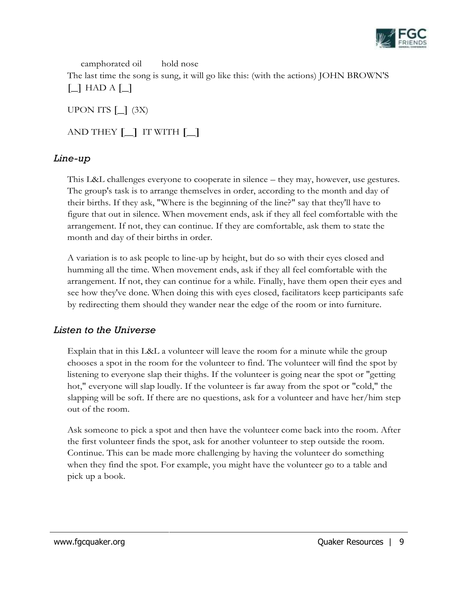

camphorated oil hold nose The last time the song is sung, it will go like this: (with the actions) JOHN BROWN'S  $\Box$  HAD A  $\Box$ 

UPON ITS  $\begin{bmatrix} \_ \end{bmatrix}$  (3X)

AND THEY [\_] IT WITH [\_]

### *Line-up*

This L&L challenges everyone to cooperate in silence – they may, however, use gestures. The group's task is to arrange themselves in order, according to the month and day of their births. If they ask, "Where is the beginning of the line?" say that they'll have to figure that out in silence. When movement ends, ask if they all feel comfortable with the arrangement. If not, they can continue. If they are comfortable, ask them to state the month and day of their births in order.

A variation is to ask people to line-up by height, but do so with their eyes closed and humming all the time. When movement ends, ask if they all feel comfortable with the arrangement. If not, they can continue for a while. Finally, have them open their eyes and see how they've done. When doing this with eyes closed, facilitators keep participants safe by redirecting them should they wander near the edge of the room or into furniture.

## *Listen to the Universe*

Explain that in this L&L a volunteer will leave the room for a minute while the group chooses a spot in the room for the volunteer to find. The volunteer will find the spot by listening to everyone slap their thighs. If the volunteer is going near the spot or "getting hot," everyone will slap loudly. If the volunteer is far away from the spot or "cold," the slapping will be soft. If there are no questions, ask for a volunteer and have her/him step out of the room.

Ask someone to pick a spot and then have the volunteer come back into the room. After the first volunteer finds the spot, ask for another volunteer to step outside the room. Continue. This can be made more challenging by having the volunteer do something when they find the spot. For example, you might have the volunteer go to a table and pick up a book.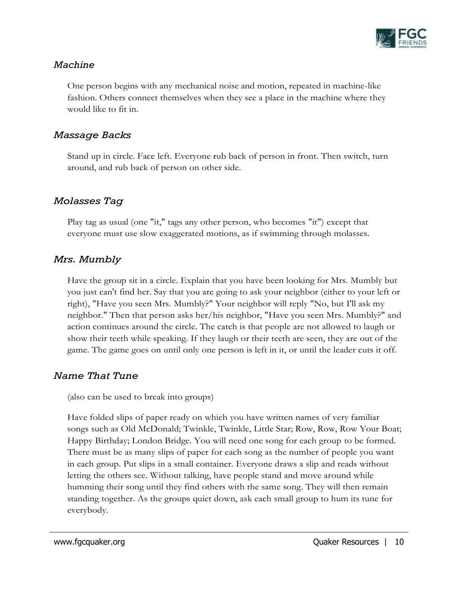

### *Machine*

One person begins with any mechanical noise and motion, repeated in machine-like fashion. Others connect themselves when they see a place in the machine where they would like to fit in.

## *Massage Backs*

Stand up in circle. Face left. Everyone rub back of person in front. Then switch, turn around, and rub back of person on other side.

## *Molasses Tag*

Play tag as usual (one "it," tags any other person, who becomes "it") except that everyone must use slow exaggerated motions, as if swimming through molasses.

## *Mrs. Mumbly*

Have the group sit in a circle. Explain that you have been looking for Mrs. Mumbly but you just can't find her. Say that you are going to ask your neighbor (either to your left or right), "Have you seen Mrs. Mumbly?" Your neighbor will reply "No, but I'll ask my neighbor." Then that person asks her/his neighbor, "Have you seen Mrs. Mumbly?" and action continues around the circle. The catch is that people are not allowed to laugh or show their teeth while speaking. If they laugh or their teeth are seen, they are out of the game. The game goes on until only one person is left in it, or until the leader cuts it off.

## *Name That Tune*

(also can be used to break into groups)

Have folded slips of paper ready on which you have written names of very familiar songs such as Old McDonald; Twinkle, Twinkle, Little Star; Row, Row, Row Your Boat; Happy Birthday; London Bridge. You will need one song for each group to be formed. There must be as many slips of paper for each song as the number of people you want in each group. Put slips in a small container. Everyone draws a slip and reads without letting the others see. Without talking, have people stand and move around while humming their song until they find others with the same song. They will then remain standing together. As the groups quiet down, ask each small group to hum its tune for everybody.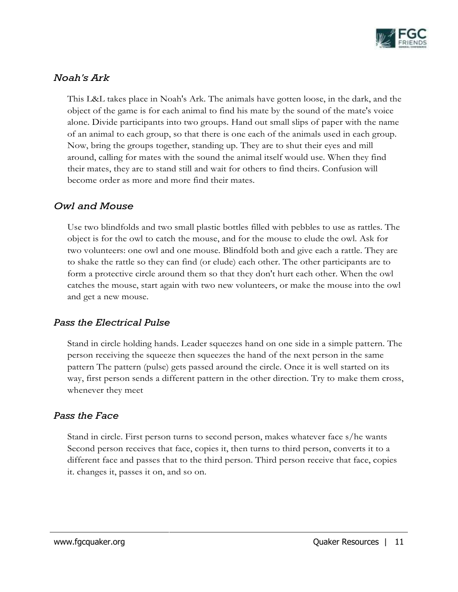

## *Noah's Ark*

This L&L takes place in Noah's Ark. The animals have gotten loose, in the dark, and the object of the game is for each animal to find his mate by the sound of the mate's voice alone. Divide participants into two groups. Hand out small slips of paper with the name of an animal to each group, so that there is one each of the animals used in each group. Now, bring the groups together, standing up. They are to shut their eyes and mill around, calling for mates with the sound the animal itself would use. When they find their mates, they are to stand still and wait for others to find theirs. Confusion will become order as more and more find their mates.

### *Owl and Mouse*

Use two blindfolds and two small plastic bottles filled with pebbles to use as rattles. The object is for the owl to catch the mouse, and for the mouse to elude the owl. Ask for two volunteers: one owl and one mouse. Blindfold both and give each a rattle. They are to shake the rattle so they can find (or elude) each other. The other participants are to form a protective circle around them so that they don't hurt each other. When the owl catches the mouse, start again with two new volunteers, or make the mouse into the owl and get a new mouse.

## *Pass the Electrical Pulse*

Stand in circle holding hands. Leader squeezes hand on one side in a simple pattern. The person receiving the squeeze then squeezes the hand of the next person in the same pattern The pattern (pulse) gets passed around the circle. Once it is well started on its way, first person sends a different pattern in the other direction. Try to make them cross, whenever they meet

### *Pass the Face*

Stand in circle. First person turns to second person, makes whatever face s/he wants Second person receives that face, copies it, then turns to third person, converts it to a different face and passes that to the third person. Third person receive that face, copies it. changes it, passes it on, and so on.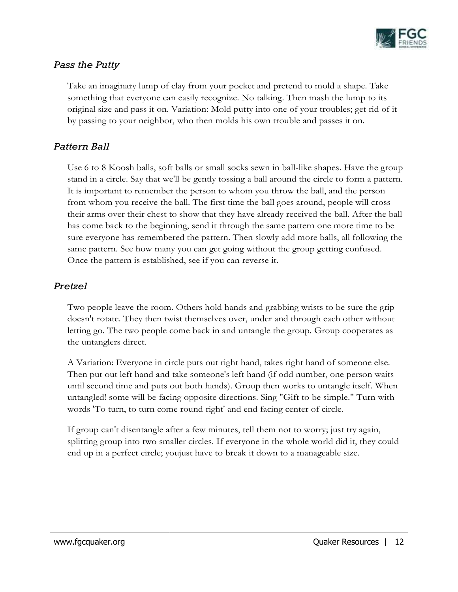

## *Pass the Putty*

Take an imaginary lump of clay from your pocket and pretend to mold a shape. Take something that everyone can easily recognize. No talking. Then mash the lump to its original size and pass it on. Variation: Mold putty into one of your troubles; get rid of it by passing to your neighbor, who then molds his own trouble and passes it on.

### *Pattern Ball*

Use 6 to 8 Koosh balls, soft balls or small socks sewn in ball-like shapes. Have the group stand in a circle. Say that we'll be gently tossing a ball around the circle to form a pattern. It is important to remember the person to whom you throw the ball, and the person from whom you receive the ball. The first time the ball goes around, people will cross their arms over their chest to show that they have already received the ball. After the ball has come back to the beginning, send it through the same pattern one more time to be sure everyone has remembered the pattern. Then slowly add more balls, all following the same pattern. See how many you can get going without the group getting confused. Once the pattern is established, see if you can reverse it.

### *Pretzel*

Two people leave the room. Others hold hands and grabbing wrists to be sure the grip doesn't rotate. They then twist themselves over, under and through each other without letting go. The two people come back in and untangle the group. Group cooperates as the untanglers direct.

A Variation: Everyone in circle puts out right hand, takes right hand of someone else. Then put out left hand and take someone's left hand (if odd number, one person waits until second time and puts out both hands). Group then works to untangle itself. When untangled! some will be facing opposite directions. Sing "Gift to be simple." Turn with words 'To turn, to turn come round right' and end facing center of circle.

If group can't disentangle after a few minutes, tell them not to worry; just try again, splitting group into two smaller circles. If everyone in the whole world did it, they could end up in a perfect circle; youjust have to break it down to a manageable size.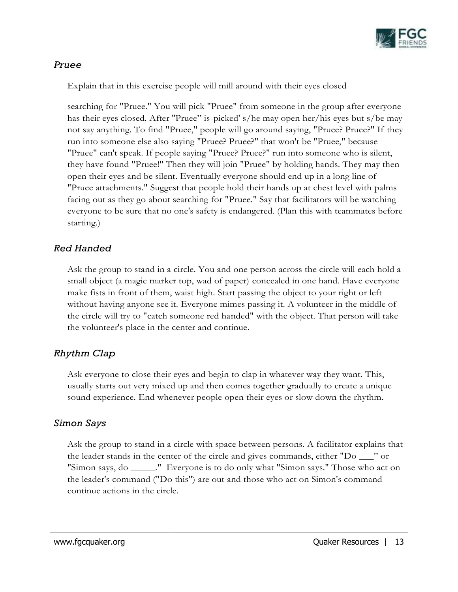

### *Pruee*

Explain that in this exercise people will mill around with their eyes closed

searching for "Pruee." You will pick "Pruee" from someone in the group after everyone has their eyes closed. After "Pruee" is-picked' s/he may open her/his eyes but s/be may not say anything. To find "Pruee," people will go around saying, "Pruee? Pruee?" If they run into someone else also saying "Pruee? Pruee?" that won't be "Pruee," because "Pruee" can't speak. If people saying "Pruee? Pruee?" run into someone who is silent, they have found "Pruee!" Then they will join "Pruee" by holding hands. They may then open their eyes and be silent. Eventually everyone should end up in a long line of "Pruee attachments." Suggest that people hold their hands up at chest level with palms facing out as they go about searching for "Pruee." Say that facilitators will be watching everyone to be sure that no one's safety is endangered. (Plan this with teammates before starting.)

### *Red Handed*

Ask the group to stand in a circle. You and one person across the circle will each hold a small object (a magic marker top, wad of paper) concealed in one hand. Have everyone make fists in front of them, waist high. Start passing the object to your right or left without having anyone see it. Everyone mimes passing it. A volunteer in the middle of the circle will try to "catch someone red handed" with the object. That person will take the volunteer's place in the center and continue.

## *Rhythm Clap*

Ask everyone to close their eyes and begin to clap in whatever way they want. This, usually starts out very mixed up and then comes together gradually to create a unique sound experience. End whenever people open their eyes or slow down the rhythm.

### *Simon Says*

Ask the group to stand in a circle with space between persons. A facilitator explains that the leader stands in the center of the circle and gives commands, either "Do \_\_\_" or "Simon says, do \_\_\_\_\_." Everyone is to do only what "Simon says." Those who act on the leader's command ("Do this") are out and those who act on Simon's command continue actions in the circle.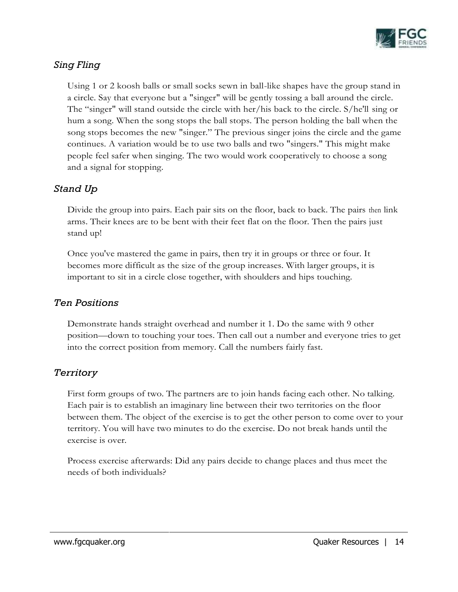

## *Sing Fling*

Using 1 or 2 koosh balls or small socks sewn in ball-like shapes have the group stand in a circle. Say that everyone but a "singer" will be gently tossing a ball around the circle. The "singer" will stand outside the circle with her/his back to the circle. S/he'll sing or hum a song. When the song stops the ball stops. The person holding the ball when the song stops becomes the new "singer." The previous singer joins the circle and the game continues. A variation would be to use two balls and two "singers." This might make people feel safer when singing. The two would work cooperatively to choose a song and a signal for stopping.

## *Stand Up*

Divide the group into pairs. Each pair sits on the floor, back to back. The pairs then link arms. Their knees are to be bent with their feet flat on the floor. Then the pairs just stand up!

Once you've mastered the game in pairs, then try it in groups or three or four. It becomes more difficult as the size of the group increases. With larger groups, it is important to sit in a circle close together, with shoulders and hips touching.

## *Ten Positions*

Demonstrate hands straight overhead and number it 1. Do the same with 9 other position—down to touching your toes. Then call out a number and everyone tries to get into the correct position from memory. Call the numbers fairly fast.

## *Territory*

First form groups of two. The partners are to join hands facing each other. No talking. Each pair is to establish an imaginary line between their two territories on the floor between them. The object of the exercise is to get the other person to come over to your territory. You will have two minutes to do the exercise. Do not break hands until the exercise is over.

Process exercise afterwards: Did any pairs decide to change places and thus meet the needs of both individuals?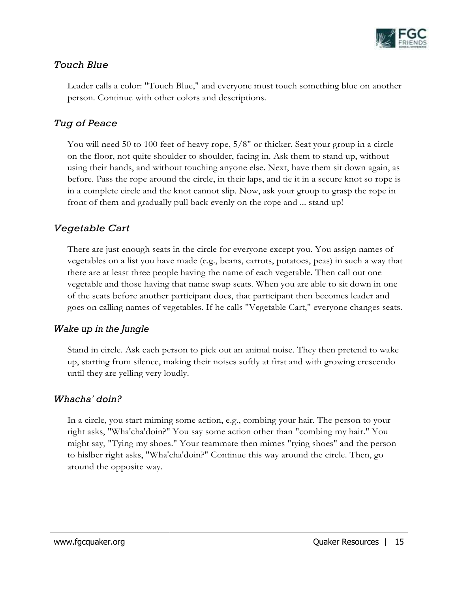

### *Touch Blue*

Leader calls a color: "Touch Blue," and everyone must touch something blue on another person. Continue with other colors and descriptions.

## *Tug of Peace*

You will need 50 to 100 feet of heavy rope, 5/8" or thicker. Seat your group in a circle on the floor, not quite shoulder to shoulder, facing in. Ask them to stand up, without using their hands, and without touching anyone else. Next, have them sit down again, as before. Pass the rope around the circle, in their laps, and tie it in a secure knot so rope is in a complete circle and the knot cannot slip. Now, ask your group to grasp the rope in front of them and gradually pull back evenly on the rope and ... stand up!

## *Vegetable Cart*

There are just enough seats in the circle for everyone except you. You assign names of vegetables on a list you have made (e.g., beans, carrots, potatoes, peas) in such a way that there are at least three people having the name of each vegetable. Then call out one vegetable and those having that name swap seats. When you are able to sit down in one of the seats before another participant does, that participant then becomes leader and goes on calling names of vegetables. If he calls "Vegetable Cart," everyone changes seats.

### *Wake up in the Jungle*

Stand in circle. Ask each person to pick out an animal noise. They then pretend to wake up, starting from silence, making their noises softly at first and with growing crescendo until they are yelling very loudly.

### *Whacha' doin?*

In a circle, you start miming some action, e.g., combing your hair. The person to your right asks, "Wha'cha'doin?" You say some action other than "combing my hair." You might say, "Tying my shoes." Your teammate then mimes "tying shoes" and the person to hislber right asks, "Wha'cha'doin?" Continue this way around the circle. Then, go around the opposite way.